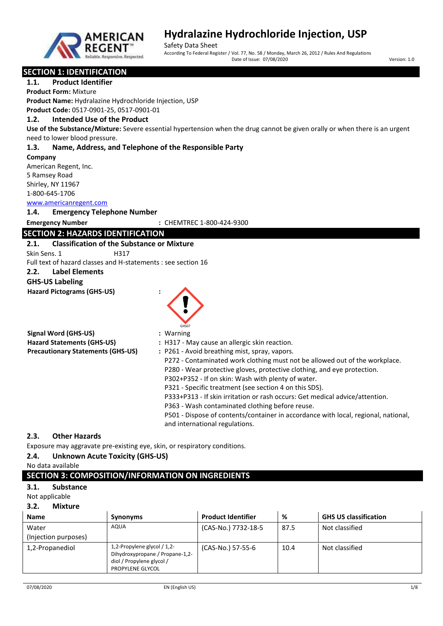

Safety Data Sheet According To Federal Register / Vol. 77, No. 58 / Monday, March 26, 2012 / Rules And Regulations Date of Issue: 07/08/2020 Version: 1.0

#### **SECTION 1: IDENTIFICATION**

**1.1. Product Identifier**

**Product Form:** Mixture

**Product Name:** Hydralazine Hydrochloride Injection, USP **Product Code:** 0517-0901-25, 0517-0901-01

**1.2. Intended Use of the Product**

**Use of the Substance/Mixture:** Severe essential hypertension when the drug cannot be given orally or when there is an urgent need to lower blood pressure.

#### **1.3. Name, Address, and Telephone of the Responsible Party**

#### **Company**

American Regent, Inc. 5 Ramsey Road Shirley, NY 11967 1-800-645-1706

#### <www.americanregent.com>

**1.4. Emergency Telephone Number**

#### **Emergency Number :** CHEMTREC 1-800-424-9300

### **SECTION 2: HAZARDS IDENTIFICATION**

### **2.1. Classification of the Substance or Mixture**

Skin Sens. 1 H317

Full text of hazard classes and H-statements : see section 16

### **2.2. Label Elements**

### **GHS-US Labeling**

**Hazard Pictograms (GHS-US) :**

|                                          | GHS07                                                                       |
|------------------------------------------|-----------------------------------------------------------------------------|
| Signal Word (GHS-US)                     | : Warning                                                                   |
| <b>Hazard Statements (GHS-US)</b>        | : H317 - May cause an allergic skin reaction.                               |
| <b>Precautionary Statements (GHS-US)</b> | : P261 - Avoid breathing mist, spray, vapors.                               |
|                                          | P272 - Contaminated work clothing must not be allowed out of the workplace. |
|                                          | P280 - Wear protective gloves, protective clothing, and eye protection.     |
|                                          | P302+P352 - If on skin: Wash with plenty of water.                          |

P321 - Specific treatment (see section 4 on this SDS).

P333+P313 - If skin irritation or rash occurs: Get medical advice/attention.

P363 - Wash contaminated clothing before reuse.

P501 - Dispose of contents/container in accordance with local, regional, national, and international regulations.

#### **2.3. Other Hazards**

Exposure may aggravate pre-existing eye, skin, or respiratory conditions.

#### **2.4. Unknown Acute Toxicity (GHS-US)**

#### No data available

### **SECTION 3: COMPOSITION/INFORMATION ON INGREDIENTS**

#### **3.1. Substance**

Not applicable

#### **3.2. Mixture**

| <b>Name</b>                   | <b>Synonyms</b>                                                                                                 | <b>Product Identifier</b> | %    | <b>GHS US classification</b> |
|-------------------------------|-----------------------------------------------------------------------------------------------------------------|---------------------------|------|------------------------------|
| Water<br>(Injection purposes) | AQUA                                                                                                            | (CAS-No.) 7732-18-5       | 87.5 | Not classified               |
| 1,2-Propanediol               | 1,2-Propylene glycol / 1,2-<br>Dihydroxypropane / Propane-1,2-<br>diol / Propylene glycol /<br>PROPYLENE GLYCOL | (CAS-No.) 57-55-6         | 10.4 | Not classified               |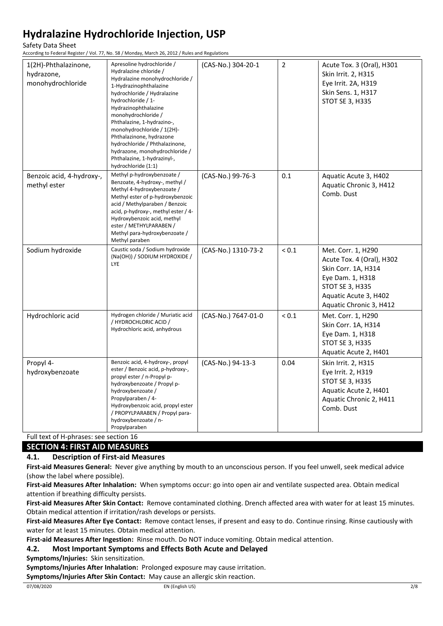Safety Data Sheet

According to Federal Register / Vol. 77, No. 58 / Monday, March 26, 2012 / Rules and Regulations

| 1(2H)-Phthalazinone,<br>hydrazone,<br>monohydrochloride | Apresoline hydrochloride /<br>Hydralazine chloride /<br>Hydralazine monohydrochloride /<br>1-Hydrazinophthalazine<br>hydrochloride / Hydralazine<br>hydrochloride / 1-<br>Hydrazinophthalazine<br>monohydrochloride /<br>Phthalazine, 1-hydrazino-,<br>monohydrochloride / 1(2H)-<br>Phthalazinone, hydrazone<br>hydrochloride / Phthalazinone,<br>hydrazone, monohydrochloride /<br>Phthalazine, 1-hydrazinyl-,<br>hydrochloride (1:1) | (CAS-No.) 304-20-1  | $\mathbf 2$ | Acute Tox. 3 (Oral), H301<br>Skin Irrit. 2, H315<br>Eye Irrit. 2A, H319<br>Skin Sens. 1, H317<br><b>STOT SE 3, H335</b>                                                  |
|---------------------------------------------------------|-----------------------------------------------------------------------------------------------------------------------------------------------------------------------------------------------------------------------------------------------------------------------------------------------------------------------------------------------------------------------------------------------------------------------------------------|---------------------|-------------|--------------------------------------------------------------------------------------------------------------------------------------------------------------------------|
| Benzoic acid, 4-hydroxy-,<br>methyl ester               | Methyl p-hydroxybenzoate /<br>Benzoate, 4-hydroxy-, methyl /<br>Methyl 4-hydroxybenzoate /<br>Methyl ester of p-hydroxybenzoic<br>acid / Methylparaben / Benzoic<br>acid, p-hydroxy-, methyl ester / 4-<br>Hydroxybenzoic acid, methyl<br>ester / METHYLPARABEN /<br>Methyl para-hydroxybenzoate /<br>Methyl paraben                                                                                                                    | (CAS-No.) 99-76-3   | 0.1         | Aquatic Acute 3, H402<br>Aquatic Chronic 3, H412<br>Comb. Dust                                                                                                           |
| Sodium hydroxide                                        | Caustic soda / Sodium hydroxide<br>(Na(OH)) / SODIUM HYDROXIDE /<br>LYE                                                                                                                                                                                                                                                                                                                                                                 | (CAS-No.) 1310-73-2 | ${}_{0.1}$  | Met. Corr. 1, H290<br>Acute Tox. 4 (Oral), H302<br>Skin Corr. 1A, H314<br>Eye Dam. 1, H318<br><b>STOT SE 3, H335</b><br>Aquatic Acute 3, H402<br>Aquatic Chronic 3, H412 |
| Hydrochloric acid                                       | Hydrogen chloride / Muriatic acid<br>/ HYDROCHLORIC ACID /<br>Hydrochloric acid, anhydrous                                                                                                                                                                                                                                                                                                                                              | (CAS-No.) 7647-01-0 | ${}_{0.1}$  | Met. Corr. 1, H290<br>Skin Corr. 1A, H314<br>Eye Dam. 1, H318<br><b>STOT SE 3, H335</b><br>Aquatic Acute 2, H401                                                         |
| Propyl 4-<br>hydroxybenzoate                            | Benzoic acid, 4-hydroxy-, propyl<br>ester / Benzoic acid, p-hydroxy-,<br>propyl ester / n-Propyl p-<br>hydroxybenzoate / Propyl p-<br>hydroxybenzoate /<br>Propylparaben / 4-<br>Hydroxybenzoic acid, propyl ester<br>/ PROPYLPARABEN / Propyl para-<br>hydroxybenzoate / n-<br>Propylparaben                                                                                                                                           | (CAS-No.) 94-13-3   | 0.04        | Skin Irrit. 2, H315<br>Eye Irrit. 2, H319<br><b>STOT SE 3, H335</b><br>Aquatic Acute 2, H401<br>Aquatic Chronic 2, H411<br>Comb. Dust                                    |

Full text of H-phrases: see section 16

### **SECTION 4: FIRST AID MEASURES**

#### **4.1. Description of First-aid Measures**

**First-aid Measures General:** Never give anything by mouth to an unconscious person. If you feel unwell, seek medical advice (show the label where possible).

**First-aid Measures After Inhalation:** When symptoms occur: go into open air and ventilate suspected area. Obtain medical attention if breathing difficulty persists.

**First-aid Measures After Skin Contact:** Remove contaminated clothing. Drench affected area with water for at least 15 minutes. Obtain medical attention if irritation/rash develops or persists.

**First-aid Measures After Eye Contact:** Remove contact lenses, if present and easy to do. Continue rinsing. Rinse cautiously with water for at least 15 minutes. Obtain medical attention.

**First-aid Measures After Ingestion:** Rinse mouth. Do NOT induce vomiting. Obtain medical attention.

**4.2. Most Important Symptoms and Effects Both Acute and Delayed**

**Symptoms/Injuries:** Skin sensitization.

**Symptoms/Injuries After Inhalation:** Prolonged exposure may cause irritation.

**Symptoms/Injuries After Skin Contact:** May cause an allergic skin reaction.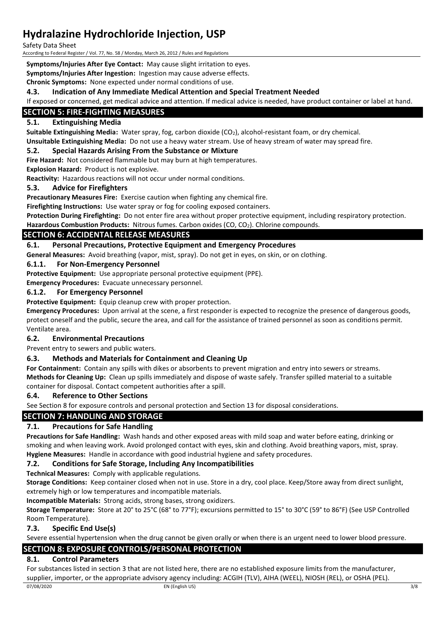Safety Data Sheet

According to Federal Register / Vol. 77, No. 58 / Monday, March 26, 2012 / Rules and Regulations

**Symptoms/Injuries After Eye Contact:** May cause slight irritation to eyes.

**Symptoms/Injuries After Ingestion:** Ingestion may cause adverse effects.

**Chronic Symptoms:** None expected under normal conditions of use.

#### **4.3. Indication of Any Immediate Medical Attention and Special Treatment Needed**

If exposed or concerned, get medical advice and attention. If medical advice is needed, have product container or label at hand.

### **SECTION 5: FIRE-FIGHTING MEASURES**

#### **5.1. Extinguishing Media**

**Suitable Extinguishing Media:** Water spray, fog, carbon dioxide (CO2), alcohol-resistant foam, or dry chemical. **Unsuitable Extinguishing Media:** Do not use a heavy water stream. Use of heavy stream of water may spread fire.

#### **5.2. Special Hazards Arising From the Substance or Mixture**

**Fire Hazard:** Not considered flammable but may burn at high temperatures.

**Explosion Hazard:** Product is not explosive.

**Reactivity:** Hazardous reactions will not occur under normal conditions.

#### **5.3. Advice for Firefighters**

**Precautionary Measures Fire:** Exercise caution when fighting any chemical fire.

**Firefighting Instructions:** Use water spray or fog for cooling exposed containers.

**Protection During Firefighting:** Do not enter fire area without proper protective equipment, including respiratory protection. Hazardous Combustion Products: Nitrous fumes. Carbon oxides (CO, CO<sub>2</sub>). Chlorine compounds.

### **SECTION 6: ACCIDENTAL RELEASE MEASURES**

#### **6.1. Personal Precautions, Protective Equipment and Emergency Procedures**

**General Measures:** Avoid breathing (vapor, mist, spray). Do not get in eyes, on skin, or on clothing.

#### **6.1.1. For Non-Emergency Personnel**

**Protective Equipment:** Use appropriate personal protective equipment (PPE).

**Emergency Procedures:** Evacuate unnecessary personnel.

#### **6.1.2. For Emergency Personnel**

**Protective Equipment:** Equip cleanup crew with proper protection.

**Emergency Procedures:** Upon arrival at the scene, a first responder is expected to recognize the presence of dangerous goods, protect oneself and the public, secure the area, and call for the assistance of trained personnel as soon as conditions permit. Ventilate area.

#### **6.2. Environmental Precautions**

Prevent entry to sewers and public waters.

#### **6.3. Methods and Materials for Containment and Cleaning Up**

**For Containment:** Contain any spills with dikes or absorbents to prevent migration and entry into sewers or streams. **Methods for Cleaning Up:** Clean up spills immediately and dispose of waste safely. Transfer spilled material to a suitable container for disposal. Contact competent authorities after a spill.

#### **6.4. Reference to Other Sections**

See Section 8 for exposure controls and personal protection and Section 13 for disposal considerations.

#### **SECTION 7: HANDLING AND STORAGE**

#### **7.1. Precautions for Safe Handling**

**Precautions for Safe Handling:** Wash hands and other exposed areas with mild soap and water before eating, drinking or smoking and when leaving work. Avoid prolonged contact with eyes, skin and clothing. Avoid breathing vapors, mist, spray. **Hygiene Measures:** Handle in accordance with good industrial hygiene and safety procedures.

#### **7.2. Conditions for Safe Storage, Including Any Incompatibilities**

**Technical Measures:** Comply with applicable regulations.

**Storage Conditions:** Keep container closed when not in use. Store in a dry, cool place. Keep/Store away from direct sunlight, extremely high or low temperatures and incompatible materials.

**Incompatible Materials:** Strong acids, strong bases, strong oxidizers.

**Storage Temperature:** Store at 20° to 25°C (68° to 77°F); excursions permitted to 15° to 30°C (59° to 86°F) (See USP Controlled Room Temperature).

#### **7.3. Specific End Use(s)**

Severe essential hypertension when the drug cannot be given orally or when there is an urgent need to lower blood pressure.

### **SECTION 8: EXPOSURE CONTROLS/PERSONAL PROTECTION**

#### **8.1. Control Parameters**

For substances listed in section 3 that are not listed here, there are no established exposure limits from the manufacturer, supplier, importer, or the appropriate advisory agency including: ACGIH (TLV), AIHA (WEEL), NIOSH (REL), or OSHA (PEL).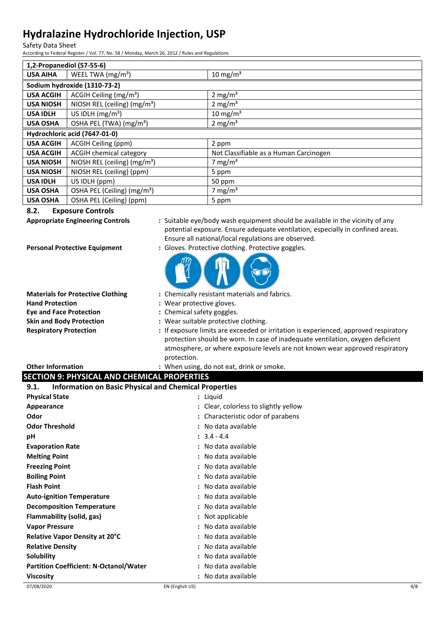Safety Data Sheet

According to Federal Register / Vol. 77, No. 58 / Monday, March 26, 2012 / Rules and Regulations

| 1,2-Propanediol (57-55-6)     |                                          |                                        |
|-------------------------------|------------------------------------------|----------------------------------------|
| <b>USA AIHA</b>               | WEEL TWA (mg/m <sup>3</sup> )            | 10 mg/m <sup>3</sup>                   |
|                               | Sodium hydroxide (1310-73-2)             |                                        |
| <b>USA ACGIH</b>              | ACGIH Ceiling $(mg/m3)$                  | 2 mg/m <sup>3</sup>                    |
| <b>USA NIOSH</b>              | NIOSH REL (ceiling) (mg/m <sup>3</sup> ) | 2 mg/ $m3$                             |
| <b>USA IDLH</b>               | US IDLH $(mg/m3)$                        | 10 mg/m $3$                            |
| <b>USA OSHA</b>               | OSHA PEL (TWA) (mg/m <sup>3</sup> )      | 2 mg/ $m3$                             |
| Hydrochloric acid (7647-01-0) |                                          |                                        |
| <b>USA ACGIH</b>              | ACGIH Ceiling (ppm)                      | 2 ppm                                  |
| <b>USA ACGIH</b>              | <b>ACGIH chemical category</b>           | Not Classifiable as a Human Carcinogen |
| <b>USA NIOSH</b>              | NIOSH REL (ceiling) (mg/m <sup>3</sup> ) | 7 mg/m <sup>3</sup>                    |
| <b>USA NIOSH</b>              | NIOSH REL (ceiling) (ppm)                | 5 ppm                                  |
| <b>USA IDLH</b>               | US IDLH (ppm)                            | 50 ppm                                 |
| <b>USA OSHA</b>               | OSHA PEL (Ceiling) (mg/m <sup>3</sup> )  | 7 mg/m <sup>3</sup>                    |
| <b>USA OSHA</b>               | OSHA PEL (Ceiling) (ppm)                 | 5 ppm                                  |

#### **8.2. Exposure Controls**

**Appropriate Engineering Controls :** Suitable eye/body wash equipment should be available in the vicinity of any potential exposure. Ensure adequate ventilation, especially in confined areas. Ensure all national/local regulations are observed.

**Personal Protective Equipment** : Gloves. Protective clothing. Protective goggles.



- **Materials for Protective Clothing :** Chemically resistant materials and fabrics.
- **Hand Protection :** Wear protective gloves.
- **Eye and Face Protection :** Chemical safety goggles.
- **Skin and Body Protection :** Wear suitable protective clothing.
- **Respiratory Protection :** If exposure limits are exceeded or irritation is experienced, approved respiratory protection should be worn. In case of inadequate ventilation, oxygen deficient atmosphere, or where exposure levels are not known wear approved respiratory protection.

**Other Information by the contract of the U.S. When using, do not eat, drink or smoke.** 

### **SECTION 9: PHYSICAL AND CHEMICAL PROPERTIES**

| <b>Information on Basic Physical and Chemical Properties</b><br>9.1. |                                       |  |
|----------------------------------------------------------------------|---------------------------------------|--|
| <b>Physical State</b>                                                | : Liquid                              |  |
| Appearance                                                           | : Clear, colorless to slightly yellow |  |
| Odor                                                                 | : Characteristic odor of parabens     |  |
| <b>Odor Threshold</b>                                                | : No data available                   |  |
| рH                                                                   | $: 3.4 - 4.4$                         |  |
| <b>Evaporation Rate</b>                                              | : No data available                   |  |
| <b>Melting Point</b>                                                 | : No data available                   |  |
| <b>Freezing Point</b>                                                | : No data available                   |  |
| <b>Boiling Point</b>                                                 | : No data available                   |  |
| <b>Flash Point</b>                                                   | : No data available                   |  |
| <b>Auto-ignition Temperature</b>                                     | : No data available                   |  |
| <b>Decomposition Temperature</b>                                     | : No data available                   |  |
| Flammability (solid, gas)                                            | : Not applicable                      |  |
| <b>Vapor Pressure</b>                                                | : No data available                   |  |
| Relative Vapor Density at 20°C                                       | : No data available                   |  |
| <b>Relative Density</b>                                              | : No data available                   |  |
| Solubility                                                           | : No data available                   |  |
| <b>Partition Coefficient: N-Octanol/Water</b>                        | No data available                     |  |
| <b>Viscosity</b>                                                     | No data available                     |  |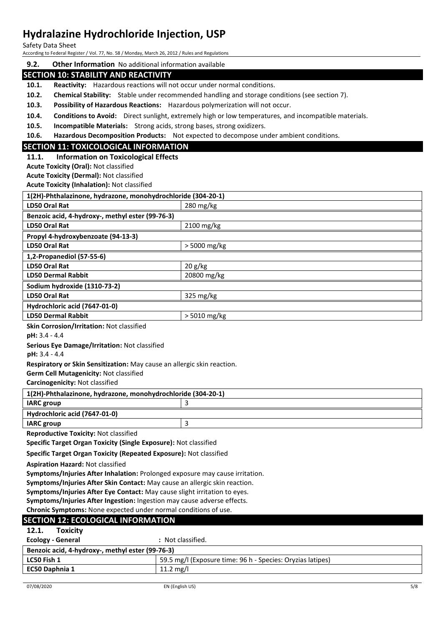Safety Data Sheet

According to Federal Register / Vol. 77, No. 58 / Monday, March 26, 2012 / Rules and Regulations

#### **9.2. Other Information** No additional information available

#### **SECTION 10: STABILITY AND REACTIVITY**

**10.1. Reactivity:** Hazardous reactions will not occur under normal conditions.

**10.2. Chemical Stability:** Stable under recommended handling and storage conditions (see section 7).

**10.3. Possibility of Hazardous Reactions:** Hazardous polymerization will not occur.

**10.4. Conditions to Avoid:** Direct sunlight, extremely high or low temperatures, and incompatible materials.

**10.5. Incompatible Materials:** Strong acids, strong bases, strong oxidizers.

**10.6. Hazardous Decomposition Products:** Not expected to decompose under ambient conditions.

#### **SECTION 11: TOXICOLOGICAL INFORMATION**

#### **11.1. Information on Toxicological Effects**

**Acute Toxicity (Oral):** Not classified

**Acute Toxicity (Dermal):** Not classified

**Acute Toxicity (Inhalation):** Not classified

| 1(2H)-Phthalazinone, hydrazone, monohydrochloride (304-20-1) |                        |  |
|--------------------------------------------------------------|------------------------|--|
| LD50 Oral Rat                                                | $280 \,\mathrm{mg/kg}$ |  |
| Benzoic acid, 4-hydroxy-, methyl ester (99-76-3)             |                        |  |
| <b>LD50 Oral Rat</b>                                         | $2100$ mg/kg           |  |
| Propyl 4-hydroxybenzoate (94-13-3)                           |                        |  |
| LD50 Oral Rat                                                | > 5000 mg/kg           |  |
| 1,2-Propanediol (57-55-6)                                    |                        |  |
| LD50 Oral Rat                                                | 20 g/kg                |  |
| <b>LD50 Dermal Rabbit</b>                                    | 20800 mg/kg            |  |
| Sodium hydroxide (1310-73-2)                                 |                        |  |
| LD50 Oral Rat                                                | $325 \text{ mg/kg}$    |  |
| Hydrochloric acid (7647-01-0)                                |                        |  |
| <b>LD50 Dermal Rabbit</b>                                    | $>$ 5010 mg/kg         |  |
| Clip Couracion (Instalian: Not closeified                    |                        |  |

**Skin Corrosion/Irritation:** Not classified

**pH:** 3.4 - 4.4

**Serious Eye Damage/Irritation:** Not classified

**pH:** 3.4 - 4.4

**Respiratory or Skin Sensitization:** May cause an allergic skin reaction.

**Germ Cell Mutagenicity:** Not classified

**Carcinogenicity:** Not classified

| 1(2H)-Phthalazinone, hydrazone, monohydrochloride (304-20-1) |  |  |
|--------------------------------------------------------------|--|--|
| <b>IARC</b> group                                            |  |  |
| Hydrochloric acid (7647-01-0)                                |  |  |
| <b>IARC</b> group                                            |  |  |

**Reproductive Toxicity:** Not classified

**Specific Target Organ Toxicity (Single Exposure):** Not classified

**Specific Target Organ Toxicity (Repeated Exposure):** Not classified

**Aspiration Hazard:** Not classified

**Symptoms/Injuries After Inhalation:** Prolonged exposure may cause irritation.

**Symptoms/Injuries After Skin Contact:** May cause an allergic skin reaction.

**Symptoms/Injuries After Eye Contact:** May cause slight irritation to eyes.

**Symptoms/Injuries After Ingestion:** Ingestion may cause adverse effects.

**Chronic Symptoms:** None expected under normal conditions of use.

#### **SECTION 12: ECOLOGICAL INFORMATION**

| 14.L.<br><b>TUAILILY</b>                         |                                                            |  |
|--------------------------------------------------|------------------------------------------------------------|--|
| Ecology - General                                | : Not classified.                                          |  |
| Benzoic acid, 4-hydroxy-, methyl ester (99-76-3) |                                                            |  |
| LC50 Fish 1                                      | 59.5 mg/l (Exposure time: 96 h - Species: Oryzias latipes) |  |
| EC50 Daphnia 1                                   | 11.2 mg/l                                                  |  |
|                                                  |                                                            |  |

**12.1. Toxicity**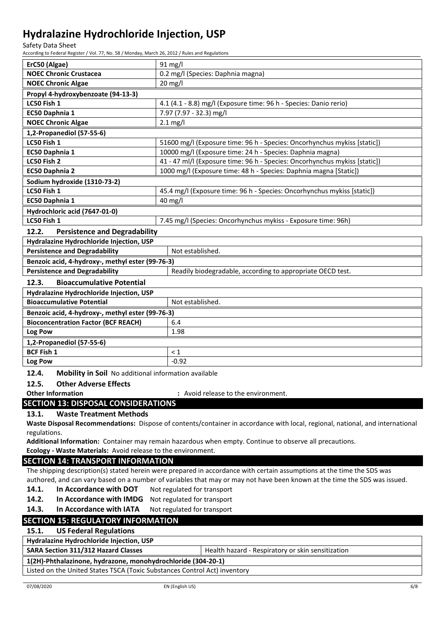Safety Data Sheet

According to Federal Register / Vol. 77, No. 58 / Monday, March 26, 2012 / Rules and Regulations

| ErC50 (Algae)                                                 | 91 mg/l                                                                                                                       |  |
|---------------------------------------------------------------|-------------------------------------------------------------------------------------------------------------------------------|--|
| <b>NOEC Chronic Crustacea</b>                                 | 0.2 mg/l (Species: Daphnia magna)                                                                                             |  |
| <b>NOEC Chronic Algae</b>                                     | 20 mg/l                                                                                                                       |  |
| Propyl 4-hydroxybenzoate (94-13-3)                            |                                                                                                                               |  |
| LC50 Fish 1                                                   | 4.1 (4.1 - 8.8) mg/l (Exposure time: 96 h - Species: Danio rerio)                                                             |  |
| EC50 Daphnia 1                                                | 7.97 (7.97 - 32.3) mg/l                                                                                                       |  |
| <b>NOEC Chronic Algae</b>                                     | $2.1 \text{ mg/l}$                                                                                                            |  |
| 1,2-Propanediol (57-55-6)                                     |                                                                                                                               |  |
| LC50 Fish 1                                                   | 51600 mg/l (Exposure time: 96 h - Species: Oncorhynchus mykiss [static])                                                      |  |
| EC50 Daphnia 1                                                | 10000 mg/l (Exposure time: 24 h - Species: Daphnia magna)                                                                     |  |
| LC50 Fish 2                                                   | 41 - 47 ml/l (Exposure time: 96 h - Species: Oncorhynchus mykiss [static])                                                    |  |
| EC50 Daphnia 2                                                | 1000 mg/l (Exposure time: 48 h - Species: Daphnia magna [Static])                                                             |  |
| Sodium hydroxide (1310-73-2)                                  |                                                                                                                               |  |
| LC50 Fish 1                                                   | 45.4 mg/l (Exposure time: 96 h - Species: Oncorhynchus mykiss [static])                                                       |  |
| EC50 Daphnia 1                                                | $40$ mg/l                                                                                                                     |  |
| Hydrochloric acid (7647-01-0)                                 |                                                                                                                               |  |
| LC50 Fish 1                                                   | 7.45 mg/l (Species: Oncorhynchus mykiss - Exposure time: 96h)                                                                 |  |
| 12.2.<br><b>Persistence and Degradability</b>                 |                                                                                                                               |  |
| Hydralazine Hydrochloride Injection, USP                      |                                                                                                                               |  |
| <b>Persistence and Degradability</b>                          | Not established.                                                                                                              |  |
| Benzoic acid, 4-hydroxy-, methyl ester (99-76-3)              |                                                                                                                               |  |
| <b>Persistence and Degradability</b>                          | Readily biodegradable, according to appropriate OECD test.                                                                    |  |
| 12.3.<br><b>Bioaccumulative Potential</b>                     |                                                                                                                               |  |
| Hydralazine Hydrochloride Injection, USP                      |                                                                                                                               |  |
| <b>Bioaccumulative Potential</b>                              | Not established.                                                                                                              |  |
| Benzoic acid, 4-hydroxy-, methyl ester (99-76-3)              |                                                                                                                               |  |
| <b>Bioconcentration Factor (BCF REACH)</b>                    | 6.4                                                                                                                           |  |
| Log Pow                                                       | 1.98                                                                                                                          |  |
| $1,2$ -Propanediol (57-55-6)                                  |                                                                                                                               |  |
| <b>BCF Fish 1</b>                                             | $\leq 1$                                                                                                                      |  |
| Log Pow                                                       | $-0.92$                                                                                                                       |  |
| 12.4.<br>Mobility in Soil No additional information available |                                                                                                                               |  |
| 12.5.<br><b>Other Adverse Effects</b>                         |                                                                                                                               |  |
| <b>Other Information</b>                                      | : Avoid release to the environment.                                                                                           |  |
| <b>SECTION 13: DISPOSAL CONSIDERATIONS</b>                    |                                                                                                                               |  |
| 13.1.<br><b>Waste Treatment Methods</b>                       |                                                                                                                               |  |
|                                                               | Waste Disposal Recommendations: Dispose of contents/container in accordance with local, regional, national, and international |  |
| regulations.                                                  |                                                                                                                               |  |
|                                                               | Additional Information: Container may remain hazardous when empty. Continue to observe all precautions.                       |  |
| Ecology - Waste Materials: Avoid release to the environment.  |                                                                                                                               |  |
| <b>SECTION 14: TRANSPORT INFORMATION</b>                      |                                                                                                                               |  |
|                                                               | The shipping description(s) stated herein were prepared in accordance with certain assumptions at the time the SDS was        |  |
|                                                               | authored, and can vary based on a number of variables that may or may not have been known at the time the SDS was issued.     |  |
| In Accordance with DOT<br>14.1.                               | Not regulated for transport                                                                                                   |  |
| 14.2.<br>In Accordance with IMDG                              | Not regulated for transport                                                                                                   |  |
| 14.3.<br>In Accordance with IATA                              | Not regulated for transport                                                                                                   |  |
| <b>SECTION 15: REGULATORY INFORMATION</b>                     |                                                                                                                               |  |
| 15.1.<br><b>US Federal Regulations</b>                        |                                                                                                                               |  |
| Hydralazine Hydrochloride Injection, USP                      |                                                                                                                               |  |
| SARA Section 311/312 Hazard Classes                           | Health hazard - Respiratory or skin sensitization                                                                             |  |
| 1(2H)-Phthalazinone hydrazone monohydrochloride (304-20-1)    |                                                                                                                               |  |

**1(2H)-Phthalazinone, hydrazone, monohydrochloride (304-20-1)** Listed on the United States TSCA (Toxic Substances Control Act) inventory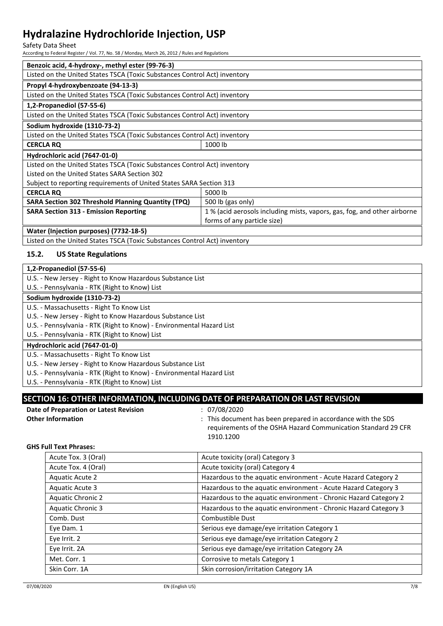#### Safety Data Sheet

According to Federal Register / Vol. 77, No. 58 / Monday, March 26, 2012 / Rules and Regulations

| Benzoic acid, 4-hydroxy-, methyl ester (99-76-3)                          |                                                                         |  |
|---------------------------------------------------------------------------|-------------------------------------------------------------------------|--|
| Listed on the United States TSCA (Toxic Substances Control Act) inventory |                                                                         |  |
| Propyl 4-hydroxybenzoate (94-13-3)                                        |                                                                         |  |
| Listed on the United States TSCA (Toxic Substances Control Act) inventory |                                                                         |  |
| 1,2-Propanediol (57-55-6)                                                 |                                                                         |  |
| Listed on the United States TSCA (Toxic Substances Control Act) inventory |                                                                         |  |
| Sodium hydroxide (1310-73-2)                                              |                                                                         |  |
| Listed on the United States TSCA (Toxic Substances Control Act) inventory |                                                                         |  |
| <b>CERCLA RQ</b>                                                          | 1000 lb                                                                 |  |
| Hydrochloric acid (7647-01-0)                                             |                                                                         |  |
| Listed on the United States TSCA (Toxic Substances Control Act) inventory |                                                                         |  |
| Listed on the United States SARA Section 302                              |                                                                         |  |
| Subject to reporting requirements of United States SARA Section 313       |                                                                         |  |
| <b>CERCLA RQ</b>                                                          | 5000 lb                                                                 |  |
| <b>SARA Section 302 Threshold Planning Quantity (TPQ)</b>                 | 500 lb (gas only)                                                       |  |
| <b>SARA Section 313 - Emission Reporting</b>                              | 1% (acid aerosols including mists, vapors, gas, fog, and other airborne |  |
| forms of any particle size)                                               |                                                                         |  |
| Water (Injection purposes) (7732-18-5)                                    |                                                                         |  |

Listed on the United States TSCA (Toxic Substances Control Act) inventory

#### **15.2. US State Regulations**

| 1,2-Propanediol (57-55-6)                                             |
|-----------------------------------------------------------------------|
| U.S. - New Jersey - Right to Know Hazardous Substance List            |
| U.S. - Pennsylvania - RTK (Right to Know) List                        |
| Sodium hydroxide (1310-73-2)                                          |
| U.S. - Massachusetts - Right To Know List                             |
| U.S. - New Jersey - Right to Know Hazardous Substance List            |
| U.S. - Pennsylvania - RTK (Right to Know) - Environmental Hazard List |
| U.S. - Pennsylvania - RTK (Right to Know) List                        |
| Hydrochloric acid (7647-01-0)                                         |
| U.S. - Massachusetts - Right To Know List                             |
| U.S. - New Jersey - Right to Know Hazardous Substance List            |
| U.S. - Pennsylvania - RTK (Right to Know) - Environmental Hazard List |
| U.S. - Pennsylvania - RTK (Right to Know) List                        |

### **SECTION 16: OTHER INFORMATION, INCLUDING DATE OF PREPARATION OR LAST REVISION**

| Date of Preparation or Latest Revision | : 07/08/2020                                                       |
|----------------------------------------|--------------------------------------------------------------------|
| <b>Other Information</b>               | $\cdot$ This document has been prepared in accordance with the SDS |
|                                        | requirements of the OSHA Hazard Communication Standard 29 CFR      |
|                                        | 1910.1200                                                          |

#### **GHS Full Text Phrases:**

| Acute Tox. 3 (Oral)      | Acute toxicity (oral) Category 3                                 |
|--------------------------|------------------------------------------------------------------|
| Acute Tox. 4 (Oral)      | Acute toxicity (oral) Category 4                                 |
| <b>Aquatic Acute 2</b>   | Hazardous to the aquatic environment - Acute Hazard Category 2   |
| Aquatic Acute 3          | Hazardous to the aquatic environment - Acute Hazard Category 3   |
| <b>Aquatic Chronic 2</b> | Hazardous to the aquatic environment - Chronic Hazard Category 2 |
| <b>Aquatic Chronic 3</b> | Hazardous to the aquatic environment - Chronic Hazard Category 3 |
| Comb. Dust               | Combustible Dust                                                 |
| Eye Dam. 1               | Serious eye damage/eye irritation Category 1                     |
| Eve Irrit. 2             | Serious eye damage/eye irritation Category 2                     |
| Eye Irrit. 2A            | Serious eye damage/eye irritation Category 2A                    |
| Met. Corr. 1             | Corrosive to metals Category 1                                   |
| Skin Corr. 1A            | Skin corrosion/irritation Category 1A                            |